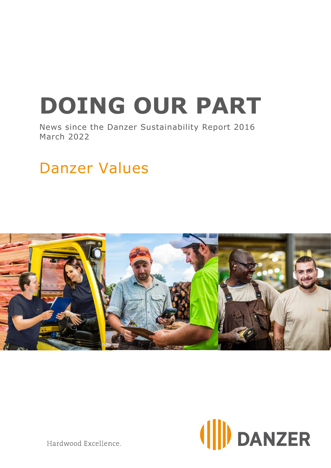# **DOING OUR PART**

News since the Danzer Sustainability Report 2016 March 2022

## Danzer Values





Hardwood Excellence.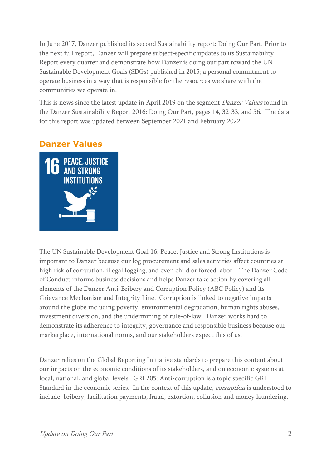In June 2017, Danzer published its second Sustainability report: Doing Our Part. Prior to the next full report, Danzer will prepare subject-specific updates to its Sustainability Report every quarter and demonstrate how Danzer is doing our part toward the UN Sustainable Development Goals (SDGs) published in 2015; a personal commitment to operate business in a way that is responsible for the resources we share with the communities we operate in.

This is news since the latest update in April 2019 on the segment *Danzer Values* found in the Danzer Sustainability Report 2016: Doing Our Part, pages 14, 32-33, and 56. The data for this report was updated between September 2021 and February 2022.



#### **Danzer Values**

The UN Sustainable Development Goal 16: Peace, Justice and Strong Institutions is important to Danzer because our log procurement and sales activities affect countries at high risk of corruption, illegal logging, and even child or forced labor. The Danzer Code of Conduct informs business decisions and helps Danzer take action by covering all elements of the Danzer Anti-Bribery and Corruption Policy (ABC Policy) and its Grievance Mechanism and Integrity Line. Corruption is linked to negative impacts around the globe including poverty, environmental degradation, human rights abuses, investment diversion, and the undermining of rule-of-law. Danzer works hard to demonstrate its adherence to integrity, governance and responsible business because our marketplace, international norms, and our stakeholders expect this of us.

Danzer relies on the Global Reporting Initiative standards to prepare this content about our impacts on the economic conditions of its stakeholders, and on economic systems at local, national, and global levels. GRI 205: Anti-corruption is a topic specific GRI Standard in the economic series. In the context of this update, corruption is understood to include: bribery, facilitation payments, fraud, extortion, collusion and money laundering.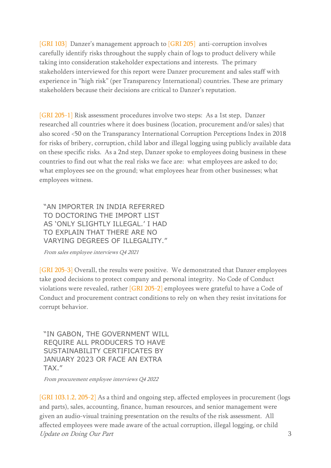[GRI 103] Danzer's management approach to [GRI 205] anti-corruption involves carefully identify risks throughout the supply chain of logs to product delivery while taking into consideration stakeholder expectations and interests. The primary stakeholders interviewed for this report were Danzer procurement and sales staff with experience in "high risk" (per Transparency International) countries. These are primary stakeholders because their decisions are critical to Danzer's reputation.

[GRI 205-1] Risk assessment procedures involve two steps: As a 1st step, Danzer researched all countries where it does business (location, procurement and/or sales) that also scored <50 on the Transparancy International Corruption Perceptions Index in 2018 for risks of bribery, corruption, child labor and illegal logging using publicly available data on these specific risks. As a 2nd step, Danzer spoke to employees doing business in these countries to find out what the real risks we face are: what employees are asked to do; what employees see on the ground; what employees hear from other businesses; what employees witness.

"AN IMPORTER IN INDIA REFERRED TO DOCTORING THE IMPORT LIST AS 'ONLY SLIGHTLY ILLEGAL.' I HAD TO EXPLAIN THAT THERE ARE NO VARYING DEGREES OF ILLEGALITY."

From sales employee interviews Q4 2021

[GRI 205-3] Overall, the results were positive. We demonstrated that Danzer employees take good decisions to protect company and personal integrity. No Code of Conduct violations were revealed, rather [GRI 205-2] employees were grateful to have a Code of Conduct and procurement contract conditions to rely on when they resist invitations for corrupt behavior.

"IN GABON, THE GOVERNMENT WILL REQUIRE ALL PRODUCERS TO HAVE SUSTAINABILITY CERTIFICATES BY JANUARY 2023 OR FACE AN EXTRA TAX."

From procurement employee interviews Q4 2022

Update on Doing Our Part 3 [GRI 103.1.2, 205-2] As a third and ongoing step, affected employees in procurement (logs and parts), sales, accounting, finance, human resources, and senior management were given an audio-visual training presentation on the results of the risk assessment. All affected employees were made aware of the actual corruption, illegal logging, or child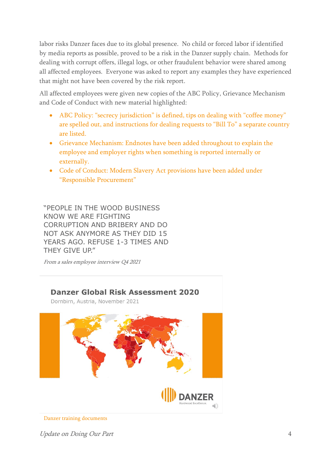labor risks Danzer faces due to its global presence. No child or forced labor if identified by media reports as possible, proved to be a risk in the Danzer supply chain. Methods for dealing with corrupt offers, illegal logs, or other fraudulent behavior were shared among all affected employees. Everyone was asked to report any examples they have experienced that might not have been covered by the risk report.

All affected employees were given new copies of the ABC Policy, Grievance Mechanism and Code of Conduct with new material highlighted:

- ABC Policy: "secrecy jurisdiction" is defined, tips on dealing with "coffee money" are spelled out, and instructions for dealing requests to "Bill To" a separate country are listed.
- Grievance Mechanism: Endnotes have been added throughout to explain the employee and employer rights when something is reported internally or externally.
- Code of Conduct: Modern Slavery Act provisions have been added under "Responsible Procurement"

"PEOPLE IN THE WOOD BUSINESS KNOW WE ARE FIGHTING CORRUPTION AND BRIBERY AND DO NOT ASK ANYMORE AS THEY DID 15 YEARS AGO. REFUSE 1-3 TIMES AND THEY GIVE UP."

From a sales employee interview Q4 2021



Danzer training documents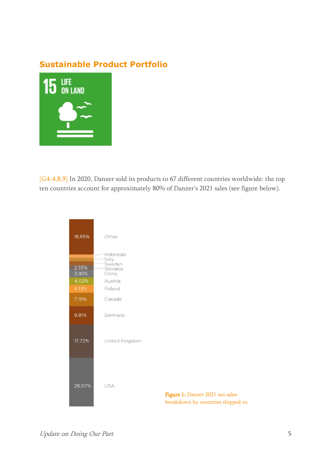### **Sustainable Product Portfolio**



[G4-4,8,9] In 2020, Danzer sold its products to 67 different countries worldwide: the top ten countries account for approximately 80% of Danzer's 2021 sales (see figure below).

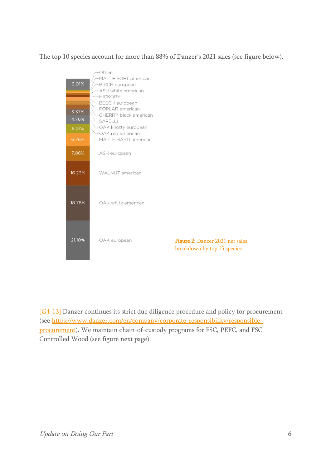The top 10 species account for more than 88% of Danzer's 2021 sales (see figure below).



[G4-13] Danzer continues its strict due diligence procedure and policy for procurement (see [https://www.danzer.com/en/company/corporate-responsibility/responsible](https://www.danzer.com/en/company/corporate-responsibility/responsible-procurement)[procurement\)](https://www.danzer.com/en/company/corporate-responsibility/responsible-procurement). We maintain chain-of-custody programs for FSC, PEFC, and FSC Controlled Wood (see figure next page).